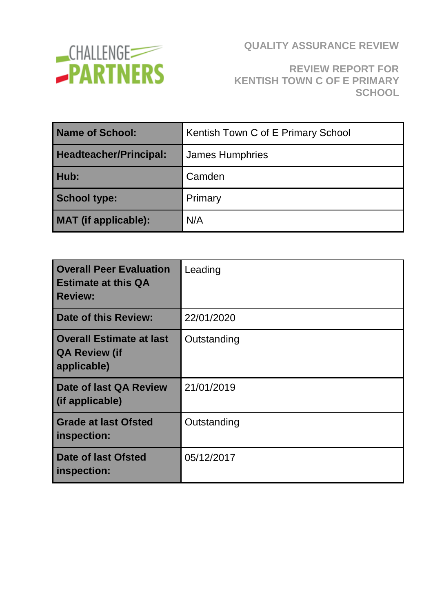

# **REVIEW REPORT FOR KENTISH TOWN C OF E PRIMARY SCHOOL**

| <b>Name of School:</b>        | Kentish Town C of E Primary School |  |
|-------------------------------|------------------------------------|--|
| <b>Headteacher/Principal:</b> | <b>James Humphries</b>             |  |
| Hub:                          | Camden                             |  |
| <b>School type:</b>           | Primary                            |  |
| <b>MAT</b> (if applicable):   | N/A                                |  |

| <b>Overall Peer Evaluation</b><br><b>Estimate at this QA</b><br><b>Review:</b> | Leading     |
|--------------------------------------------------------------------------------|-------------|
| Date of this Review:                                                           | 22/01/2020  |
| <b>Overall Estimate at last</b><br><b>QA Review (if</b><br>applicable)         | Outstanding |
| Date of last QA Review<br>(if applicable)                                      | 21/01/2019  |
| <b>Grade at last Ofsted</b><br>inspection:                                     | Outstanding |
| <b>Date of last Ofsted</b><br>inspection:                                      | 05/12/2017  |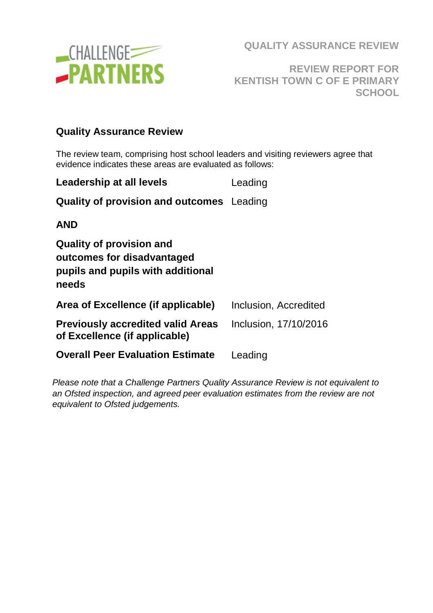

**REVIEW REPORT FOR KENTISH TOWN C OF E PRIMARY SCHOOL**

#### **Quality Assurance Review**

The review team, comprising host school leaders and visiting reviewers agree that evidence indicates these areas are evaluated as follows:

| Leadership at all levels                                                                                    | Leading               |
|-------------------------------------------------------------------------------------------------------------|-----------------------|
| <b>Quality of provision and outcomes</b> Leading                                                            |                       |
| <b>AND</b>                                                                                                  |                       |
| <b>Quality of provision and</b><br>outcomes for disadvantaged<br>pupils and pupils with additional<br>needs |                       |
| Area of Excellence (if applicable)                                                                          | Inclusion, Accredited |
| <b>Previously accredited valid Areas</b><br>of Excellence (if applicable)                                   | Inclusion, 17/10/2016 |
| <b>Overall Peer Evaluation Estimate</b>                                                                     | Leading               |
|                                                                                                             |                       |

*Please note that a Challenge Partners Quality Assurance Review is not equivalent to an Ofsted inspection, and agreed peer evaluation estimates from the review are not equivalent to Ofsted judgements.*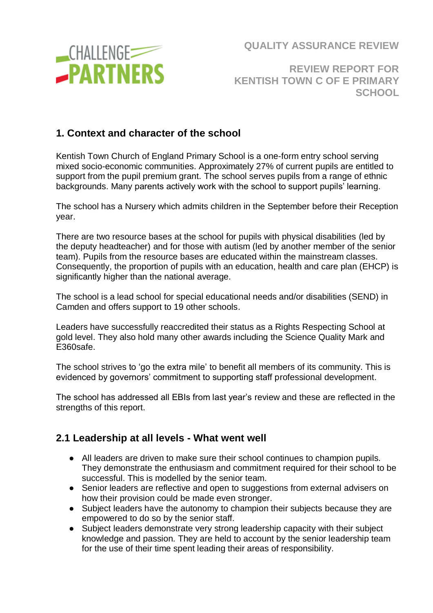

## **REVIEW REPORT FOR KENTISH TOWN C OF E PRIMARY SCHOOL**

## **1. Context and character of the school**

Kentish Town Church of England Primary School is a one-form entry school serving mixed socio-economic communities. Approximately 27% of current pupils are entitled to support from the pupil premium grant. The school serves pupils from a range of ethnic backgrounds. Many parents actively work with the school to support pupils' learning.

The school has a Nursery which admits children in the September before their Reception year.

There are two resource bases at the school for pupils with physical disabilities (led by the deputy headteacher) and for those with autism (led by another member of the senior team). Pupils from the resource bases are educated within the mainstream classes. Consequently, the proportion of pupils with an education, health and care plan (EHCP) is significantly higher than the national average.

The school is a lead school for special educational needs and/or disabilities (SEND) in Camden and offers support to 19 other schools.

Leaders have successfully reaccredited their status as a Rights Respecting School at gold level. They also hold many other awards including the Science Quality Mark and E360safe.

The school strives to 'go the extra mile' to benefit all members of its community. This is evidenced by governors' commitment to supporting staff professional development.

The school has addressed all EBIs from last year's review and these are reflected in the strengths of this report.

#### **2.1 Leadership at all levels - What went well**

- All leaders are driven to make sure their school continues to champion pupils. They demonstrate the enthusiasm and commitment required for their school to be successful. This is modelled by the senior team.
- Senior leaders are reflective and open to suggestions from external advisers on how their provision could be made even stronger.
- Subject leaders have the autonomy to champion their subjects because they are empowered to do so by the senior staff.
- Subject leaders demonstrate very strong leadership capacity with their subject knowledge and passion. They are held to account by the senior leadership team for the use of their time spent leading their areas of responsibility.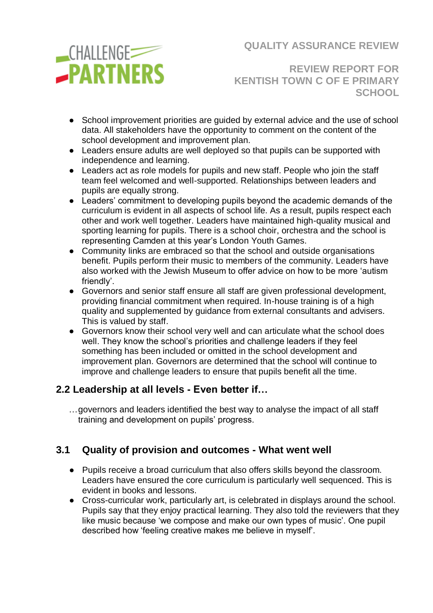

**REVIEW REPORT FOR KENTISH TOWN C OF E PRIMARY SCHOOL**

- School improvement priorities are quided by external advice and the use of school data. All stakeholders have the opportunity to comment on the content of the school development and improvement plan.
- Leaders ensure adults are well deployed so that pupils can be supported with independence and learning.
- Leaders act as role models for pupils and new staff. People who join the staff team feel welcomed and well-supported. Relationships between leaders and pupils are equally strong.
- Leaders' commitment to developing pupils beyond the academic demands of the curriculum is evident in all aspects of school life. As a result, pupils respect each other and work well together. Leaders have maintained high-quality musical and sporting learning for pupils. There is a school choir, orchestra and the school is representing Camden at this year's London Youth Games.
- Community links are embraced so that the school and outside organisations benefit. Pupils perform their music to members of the community. Leaders have also worked with the Jewish Museum to offer advice on how to be more 'autism friendly'.
- Governors and senior staff ensure all staff are given professional development, providing financial commitment when required. In-house training is of a high quality and supplemented by guidance from external consultants and advisers. This is valued by staff.
- Governors know their school very well and can articulate what the school does well. They know the school's priorities and challenge leaders if they feel something has been included or omitted in the school development and improvement plan. Governors are determined that the school will continue to improve and challenge leaders to ensure that pupils benefit all the time.

### **2.2 Leadership at all levels - Even better if…**

…governors and leaders identified the best way to analyse the impact of all staff training and development on pupils' progress.

# **3.1 Quality of provision and outcomes - What went well**

- Pupils receive a broad curriculum that also offers skills beyond the classroom. Leaders have ensured the core curriculum is particularly well sequenced. This is evident in books and lessons.
- Cross-curricular work, particularly art, is celebrated in displays around the school. Pupils say that they enjoy practical learning. They also told the reviewers that they like music because 'we compose and make our own types of music'. One pupil described how 'feeling creative makes me believe in myself'.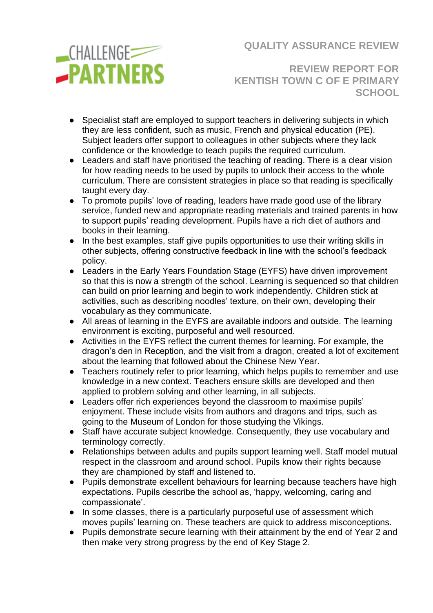

**REVIEW REPORT FOR KENTISH TOWN C OF E PRIMARY SCHOOL**

- Specialist staff are employed to support teachers in delivering subjects in which they are less confident, such as music, French and physical education (PE). Subject leaders offer support to colleagues in other subjects where they lack confidence or the knowledge to teach pupils the required curriculum.
- Leaders and staff have prioritised the teaching of reading. There is a clear vision for how reading needs to be used by pupils to unlock their access to the whole curriculum. There are consistent strategies in place so that reading is specifically taught every day.
- To promote pupils' love of reading, leaders have made good use of the library service, funded new and appropriate reading materials and trained parents in how to support pupils' reading development. Pupils have a rich diet of authors and books in their learning.
- In the best examples, staff give pupils opportunities to use their writing skills in other subjects, offering constructive feedback in line with the school's feedback policy.
- Leaders in the Early Years Foundation Stage (EYFS) have driven improvement so that this is now a strength of the school. Learning is sequenced so that children can build on prior learning and begin to work independently. Children stick at activities, such as describing noodles' texture, on their own, developing their vocabulary as they communicate.
- All areas of learning in the EYFS are available indoors and outside. The learning environment is exciting, purposeful and well resourced.
- Activities in the EYFS reflect the current themes for learning. For example, the dragon's den in Reception, and the visit from a dragon, created a lot of excitement about the learning that followed about the Chinese New Year.
- Teachers routinely refer to prior learning, which helps pupils to remember and use knowledge in a new context. Teachers ensure skills are developed and then applied to problem solving and other learning, in all subjects.
- Leaders offer rich experiences beyond the classroom to maximise pupils' enjoyment. These include visits from authors and dragons and trips, such as going to the Museum of London for those studying the Vikings.
- Staff have accurate subject knowledge. Consequently, they use vocabulary and terminology correctly.
- Relationships between adults and pupils support learning well. Staff model mutual respect in the classroom and around school. Pupils know their rights because they are championed by staff and listened to.
- Pupils demonstrate excellent behaviours for learning because teachers have high expectations. Pupils describe the school as, 'happy, welcoming, caring and compassionate'.
- In some classes, there is a particularly purposeful use of assessment which moves pupils' learning on. These teachers are quick to address misconceptions.
- Pupils demonstrate secure learning with their attainment by the end of Year 2 and then make very strong progress by the end of Key Stage 2.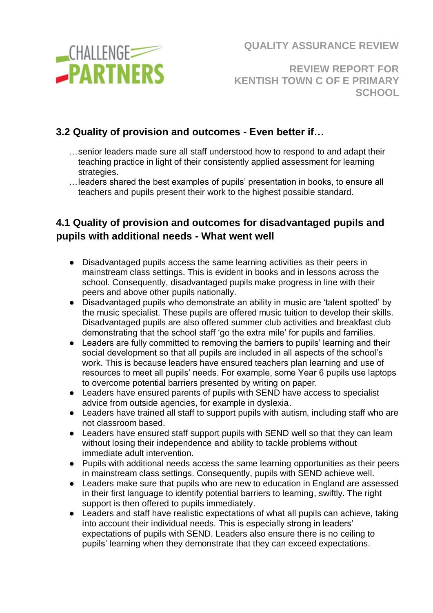

**REVIEW REPORT FOR KENTISH TOWN C OF E PRIMARY SCHOOL**

# **3.2 Quality of provision and outcomes - Even better if…**

- …senior leaders made sure all staff understood how to respond to and adapt their teaching practice in light of their consistently applied assessment for learning strategies.
- …leaders shared the best examples of pupils' presentation in books, to ensure all teachers and pupils present their work to the highest possible standard.

# **4.1 Quality of provision and outcomes for disadvantaged pupils and pupils with additional needs - What went well**

- Disadvantaged pupils access the same learning activities as their peers in mainstream class settings. This is evident in books and in lessons across the school. Consequently, disadvantaged pupils make progress in line with their peers and above other pupils nationally.
- Disadvantaged pupils who demonstrate an ability in music are 'talent spotted' by the music specialist. These pupils are offered music tuition to develop their skills. Disadvantaged pupils are also offered summer club activities and breakfast club demonstrating that the school staff 'go the extra mile' for pupils and families.
- Leaders are fully committed to removing the barriers to pupils' learning and their social development so that all pupils are included in all aspects of the school's work. This is because leaders have ensured teachers plan learning and use of resources to meet all pupils' needs. For example, some Year 6 pupils use laptops to overcome potential barriers presented by writing on paper.
- Leaders have ensured parents of pupils with SEND have access to specialist advice from outside agencies, for example in dyslexia.
- Leaders have trained all staff to support pupils with autism, including staff who are not classroom based.
- Leaders have ensured staff support pupils with SEND well so that they can learn without losing their independence and ability to tackle problems without immediate adult intervention.
- Pupils with additional needs access the same learning opportunities as their peers in mainstream class settings. Consequently, pupils with SEND achieve well.
- Leaders make sure that pupils who are new to education in England are assessed in their first language to identify potential barriers to learning, swiftly. The right support is then offered to pupils immediately.
- Leaders and staff have realistic expectations of what all pupils can achieve, taking into account their individual needs. This is especially strong in leaders' expectations of pupils with SEND. Leaders also ensure there is no ceiling to pupils' learning when they demonstrate that they can exceed expectations.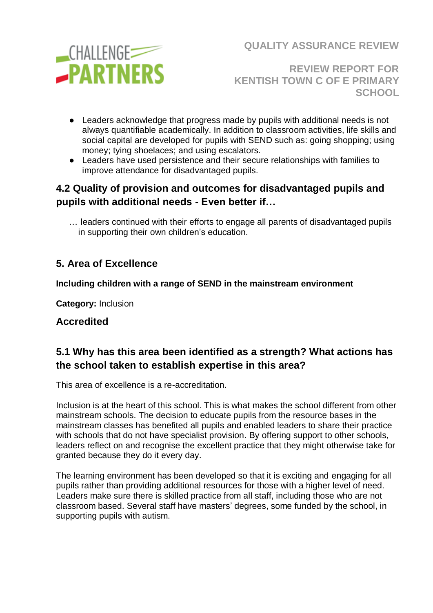

**REVIEW REPORT FOR KENTISH TOWN C OF E PRIMARY SCHOOL**

- Leaders acknowledge that progress made by pupils with additional needs is not always quantifiable academically. In addition to classroom activities, life skills and social capital are developed for pupils with SEND such as: going shopping; using money; tying shoelaces; and using escalators.
- Leaders have used persistence and their secure relationships with families to improve attendance for disadvantaged pupils.

## **4.2 Quality of provision and outcomes for disadvantaged pupils and pupils with additional needs - Even better if…**

… leaders continued with their efforts to engage all parents of disadvantaged pupils in supporting their own children's education.

# **5. Area of Excellence**

#### **Including children with a range of SEND in the mainstream environment**

**Category:** Inclusion

### **Accredited**

# **5.1 Why has this area been identified as a strength? What actions has the school taken to establish expertise in this area?**

This area of excellence is a re-accreditation.

Inclusion is at the heart of this school. This is what makes the school different from other mainstream schools. The decision to educate pupils from the resource bases in the mainstream classes has benefited all pupils and enabled leaders to share their practice with schools that do not have specialist provision. By offering support to other schools, leaders reflect on and recognise the excellent practice that they might otherwise take for granted because they do it every day.

The learning environment has been developed so that it is exciting and engaging for all pupils rather than providing additional resources for those with a higher level of need. Leaders make sure there is skilled practice from all staff, including those who are not classroom based. Several staff have masters' degrees, some funded by the school, in supporting pupils with autism.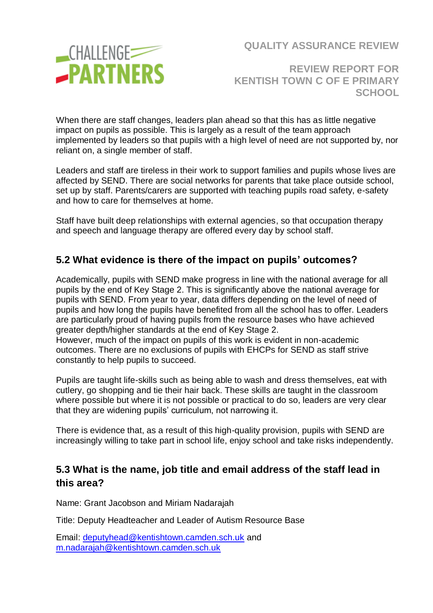

**REVIEW REPORT FOR KENTISH TOWN C OF E PRIMARY SCHOOL**

When there are staff changes, leaders plan ahead so that this has as little negative impact on pupils as possible. This is largely as a result of the team approach implemented by leaders so that pupils with a high level of need are not supported by, nor reliant on, a single member of staff.

Leaders and staff are tireless in their work to support families and pupils whose lives are affected by SEND. There are social networks for parents that take place outside school, set up by staff. Parents/carers are supported with teaching pupils road safety, e-safety and how to care for themselves at home.

Staff have built deep relationships with external agencies, so that occupation therapy and speech and language therapy are offered every day by school staff.

## **5.2 What evidence is there of the impact on pupils' outcomes?**

Academically, pupils with SEND make progress in line with the national average for all pupils by the end of Key Stage 2. This is significantly above the national average for pupils with SEND. From year to year, data differs depending on the level of need of pupils and how long the pupils have benefited from all the school has to offer. Leaders are particularly proud of having pupils from the resource bases who have achieved greater depth/higher standards at the end of Key Stage 2.

However, much of the impact on pupils of this work is evident in non-academic outcomes. There are no exclusions of pupils with EHCPs for SEND as staff strive constantly to help pupils to succeed.

Pupils are taught life-skills such as being able to wash and dress themselves, eat with cutlery, go shopping and tie their hair back. These skills are taught in the classroom where possible but where it is not possible or practical to do so, leaders are very clear that they are widening pupils' curriculum, not narrowing it.

There is evidence that, as a result of this high-quality provision, pupils with SEND are increasingly willing to take part in school life, enjoy school and take risks independently.

### **5.3 What is the name, job title and email address of the staff lead in this area?**

Name: Grant Jacobson and Miriam Nadarajah

Title: Deputy Headteacher and Leader of Autism Resource Base

Email: [deputyhead@kentishtown.camden.sch.uk](mailto:deputyhead@kentishtown.camden.sch.uk) and [m.nadarajah@kentishtown.camden.sch.uk](mailto:m.nadarajah@kentishtown.camden.sch.uk)